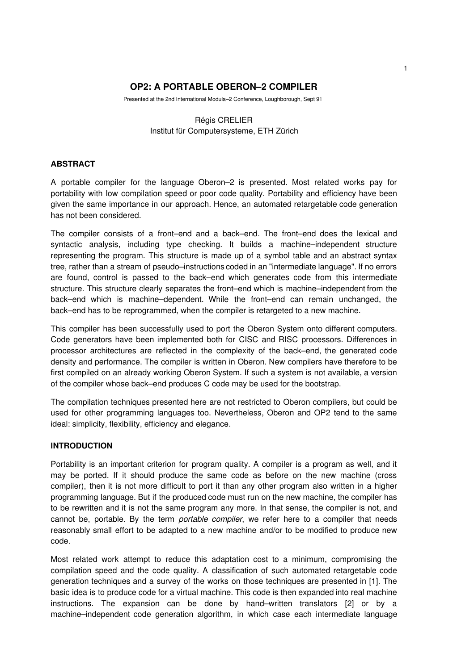# **OP2: A PORTABLE OBERON–2 COMPILER**

Presented at the 2nd International Modula–2 Conference, Loughborough, Sept 91

# Régis CRELIER Institut für Computersysteme, ETH Zürich

## **ABSTRACT**

A portable compiler for the language Oberon–2 is presented. Most related works pay for portability with low compilation speed or poor code quality. Portability and efficiency have been given the same importance in our approach. Hence, an automated retargetable code generation has not been considered.

The compiler consists of a front–end and a back–end. The front–end does the lexical and syntactic analysis, including type checking. It builds a machine–independent structure representing the program. This structure is made up of a symbol table and an abstract syntax tree, rather than a stream of pseudo–instructions coded in an "intermediate language". If no errors are found, control is passed to the back–end which generates code from this intermediate structure. This structure clearly separates the front–end which is machine–independent from the back–end which is machine–dependent. While the front–end can remain unchanged, the back–end has to be reprogrammed, when the compiler is retargeted to a new machine.

This compiler has been successfully used to port the Oberon System onto different computers. Code generators have been implemented both for CISC and RISC processors. Differences in processor architectures are reflected in the complexity of the back–end, the generated code density and performance. The compiler is written in Oberon. New compilers have therefore to be first compiled on an already working Oberon System. If such a system is not available, a version of the compiler whose back–end produces C code may be used for the bootstrap.

The compilation techniques presented here are not restricted to Oberon compilers, but could be used for other programming languages too. Nevertheless, Oberon and OP2 tend to the same ideal: simplicity, flexibility, efficiency and elegance.

## **INTRODUCTION**

Portability is an important criterion for program quality. A compiler is a program as well, and it may be ported. If it should produce the same code as before on the new machine (cross compiler), then it is not more difficult to port it than any other program also written in a higher programming language. But if the produced code must run on the new machine, the compiler has to be rewritten and it is not the same program any more. In that sense, the compiler is not, and cannot be, portable. By the term *portable compiler*, we refer here to a compiler that needs reasonably small effort to be adapted to a new machine and/or to be modified to produce new code.

Most related work attempt to reduce this adaptation cost to a minimum, compromising the compilation speed and the code quality. A classification of such automated retargetable code generation techniques and a survey of the works on those techniques are presented in [1]. The basic idea is to produce code for a virtual machine. This code is then expanded into real machine instructions. The expansion can be done by hand–written translators [2] or by a machine–independent code generation algorithm, in which case each intermediate language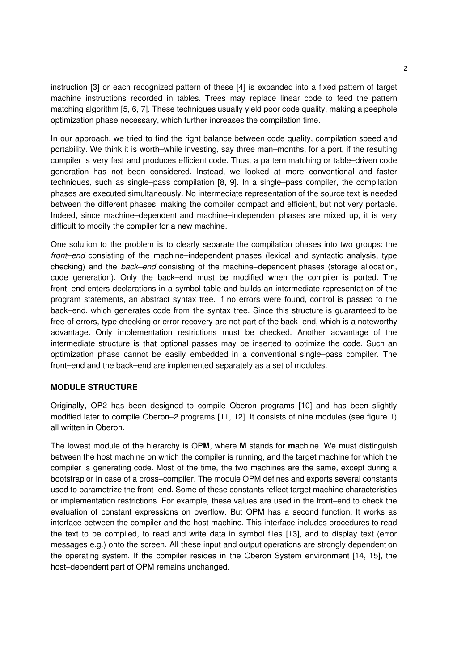instruction [3] or each recognized pattern of these [4] is expanded into a fixed pattern of target machine instructions recorded in tables. Trees may replace linear code to feed the pattern matching algorithm [5, 6, 7]. These techniques usually yield poor code quality, making a peephole optimization phase necessary, which further increases the compilation time.

In our approach, we tried to find the right balance between code quality, compilation speed and portability. We think it is worth–while investing, say three man–months, for a port, if the resulting compiler is very fast and produces efficient code. Thus, a pattern matching or table–driven code generation has not been considered. Instead, we looked at more conventional and faster techniques, such as single–pass compilation [8, 9]. In a single–pass compiler, the compilation phases are executed simultaneously. No intermediate representation of the source text is needed between the different phases, making the compiler compact and efficient, but not very portable. Indeed, since machine–dependent and machine–independent phases are mixed up, it is very difficult to modify the compiler for a new machine.

One solution to the problem is to clearly separate the compilation phases into two groups: the front–end consisting of the machine–independent phases (lexical and syntactic analysis, type checking) and the back–end consisting of the machine–dependent phases (storage allocation, code generation). Only the back–end must be modified when the compiler is ported. The front–end enters declarations in a symbol table and builds an intermediate representation of the program statements, an abstract syntax tree. If no errors were found, control is passed to the back–end, which generates code from the syntax tree. Since this structure is guaranteed to be free of errors, type checking or error recovery are not part of the back–end, which is a noteworthy advantage. Only implementation restrictions must be checked. Another advantage of the intermediate structure is that optional passes may be inserted to optimize the code. Such an optimization phase cannot be easily embedded in a conventional single–pass compiler. The front–end and the back–end are implemented separately as a set of modules.

### **MODULE STRUCTURE**

Originally, OP2 has been designed to compile Oberon programs [10] and has been slightly modified later to compile Oberon–2 programs [11, 12]. It consists of nine modules (see figure 1) all written in Oberon.

The lowest module of the hierarchy is OP**M**, where **M** stands for **m**achine. We must distinguish between the host machine on which the compiler is running, and the target machine for which the compiler is generating code. Most of the time, the two machines are the same, except during a bootstrap or in case of a cross–compiler. The module OPM defines and exports several constants used to parametrize the front–end. Some of these constants reflect target machine characteristics or implementation restrictions. For example, these values are used in the front–end to check the evaluation of constant expressions on overflow. But OPM has a second function. It works as interface between the compiler and the host machine. This interface includes procedures to read the text to be compiled, to read and write data in symbol files [13], and to display text (error messages e.g.) onto the screen. All these input and output operations are strongly dependent on the operating system. If the compiler resides in the Oberon System environment [14, 15], the host–dependent part of OPM remains unchanged.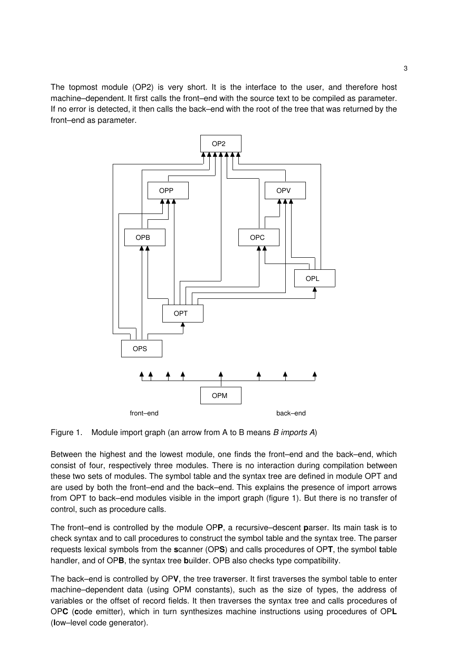The topmost module (OP2) is very short. It is the interface to the user, and therefore host machine–dependent. It first calls the front–end with the source text to be compiled as parameter. If no error is detected, it then calls the back–end with the root of the tree that was returned by the front–end as parameter.



Figure 1. Module import graph (an arrow from A to B means B imports A)

Between the highest and the lowest module, one finds the front–end and the back–end, which consist of four, respectively three modules. There is no interaction during compilation between these two sets of modules. The symbol table and the syntax tree are defined in module OPT and are used by both the front–end and the back–end. This explains the presence of import arrows from OPT to back–end modules visible in the import graph (figure 1). But there is no transfer of control, such as procedure calls.

The front–end is controlled by the module OP**P**, a recursive–descent **p**arser. Its main task is to check syntax and to call procedures to construct the symbol table and the syntax tree. The parser requests lexical symbols from the **s**canner (OP**S**) and calls procedures of OP**T**, the symbol **t**able handler, and of OP**B**, the syntax tree **b**uilder. OPB also checks type compatibility.

The back–end is controlled by OP**V**, the tree tra**v**erser. It first traverses the symbol table to enter machine–dependent data (using OPM constants), such as the size of types, the address of variables or the offset of record fields. It then traverses the syntax tree and calls procedures of OP**C** (**c**ode emitter), which in turn synthesizes machine instructions using procedures of OP**L** (**l**ow–level code generator).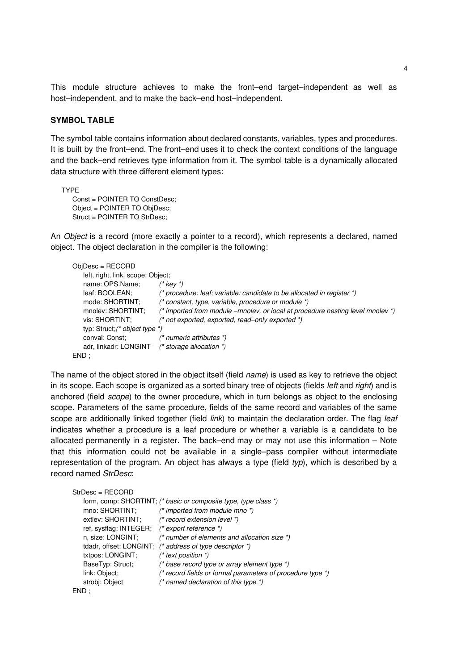This module structure achieves to make the front–end target–independent as well as host–independent, and to make the back–end host–independent.

### **SYMBOL TABLE**

The symbol table contains information about declared constants, variables, types and procedures. It is built by the front–end. The front–end uses it to check the context conditions of the language and the back–end retrieves type information from it. The symbol table is a dynamically allocated data structure with three different element types:

```
TYPE
```
Const = POINTER TO ConstDesc; Object = POINTER TO ObjDesc; Struct = POINTER TO StrDesc;

An *Object* is a record (more exactly a pointer to a record), which represents a declared, named object. The object declaration in the compiler is the following:

```
ObjDesc = RECORD
   left, right, link, scope: Object;
   name: OPS.Name; (* key *)
   leaf: BOOLEAN; (* procedure: leaf; variable: candidate to be allocated in register *)
   mode: SHORTINT; (* constant, type, variable, procedure or module *)
   mnolev: SHORTINT; (* imported from module –mnolev, or local at procedure nesting level mnolev *)
   vis: SHORTINT; (* not exported, exported, read–only exported *)
   typ: Struct;(* object type *)
   conval: Const; (* numeric attributes *)
   adr, linkadr: LONGINT (* storage allocation *)
END ;
```
The name of the object stored in the object itself (field *name*) is used as key to retrieve the object in its scope. Each scope is organized as a sorted binary tree of objects (fields left and right) and is anchored (field *scope*) to the owner procedure, which in turn belongs as object to the enclosing scope. Parameters of the same procedure, fields of the same record and variables of the same scope are additionally linked together (field link) to maintain the declaration order. The flag leaf indicates whether a procedure is a leaf procedure or whether a variable is a candidate to be allocated permanently in a register. The back–end may or may not use this information – Note that this information could not be available in a single–pass compiler without intermediate representation of the program. An object has always a type (field  $typ$ ), which is described by a record named StrDesc:

| $StrDesc = RECORD$                            |                                                                 |
|-----------------------------------------------|-----------------------------------------------------------------|
|                                               | form, comp: SHORTINT; (* basic or composite type, type class *) |
| mno: SHORTINT;                                | $(*)$ imported from module mno *)                               |
| extlev: SHORTINT;                             | $*$ record extension level $*$ )                                |
| ref, sysflag: INTEGER; (* export reference *) |                                                                 |
| n, size: LONGINT;                             | (* number of elements and allocation size *)                    |
|                                               | tdadr, offset: LONGINT; (* address of type descriptor *)        |
| txtpos: LONGINT;                              | $(* text position *)$                                           |
| BaseTyp: Struct;                              | $(*$ base record type or array element type $*$ )               |
| link: Object;                                 | (* record fields or formal parameters of procedure type *)      |
| strobj: Object                                | $($ * named declaration of this type $\ast$ )                   |
| END :                                         |                                                                 |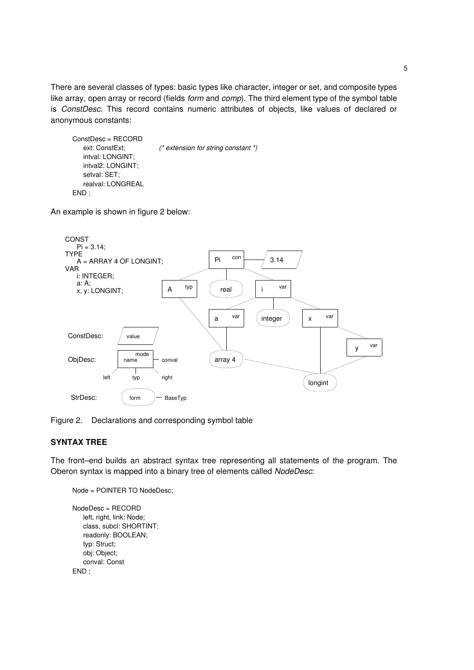There are several classes of types: basic types like character, integer or set, and composite types like array, open array or record (fields form and comp). The third element type of the symbol table is ConstDesc. This record contains numeric attributes of objects, like values of declared or anonymous constants:

```
ConstDesc = RECORD
   ext: ConstExt; (*) extension for string constant *)
   intval: LONGINT;
  intval2: LONGINT;
  setval: SET;
   realval: LONGREAL
END ;
```
An example is shown in figure 2 below:



Figure 2. Declarations and corresponding symbol table

# **SYNTAX TREE**

The front–end builds an abstract syntax tree representing all statements of the program. The Oberon syntax is mapped into a binary tree of elements called NodeDesc:

```
Node = POINTER TO NodeDesc;
```

```
NodeDesc = RECORD
   left, right, link: Node;
   class, subcl: SHORTINT;
   readonly: BOOLEAN;
   typ: Struct;
   obj: Object;
   conval: Const
END ;
```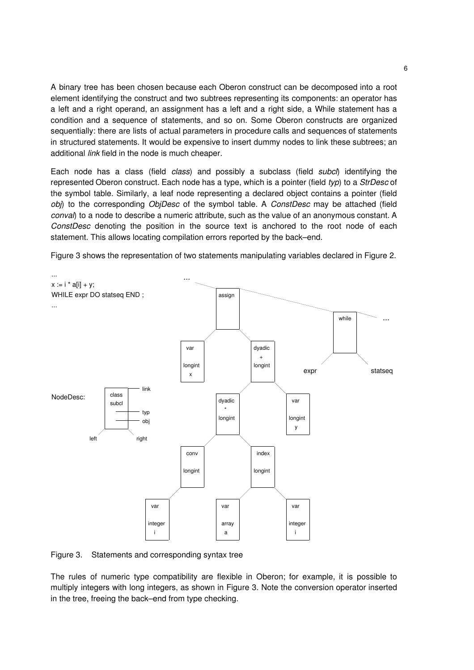A binary tree has been chosen because each Oberon construct can be decomposed into a root element identifying the construct and two subtrees representing its components: an operator has a left and a right operand, an assignment has a left and a right side, a While statement has a condition and a sequence of statements, and so on. Some Oberon constructs are organized sequentially: there are lists of actual parameters in procedure calls and sequences of statements in structured statements. It would be expensive to insert dummy nodes to link these subtrees; an additional link field in the node is much cheaper.

Each node has a class (field class) and possibly a subclass (field *subcl*) identifying the represented Oberon construct. Each node has a type, which is a pointer (field typ) to a StrDesc of the symbol table. Similarly, a leaf node representing a declared object contains a pointer (field obj) to the corresponding ObjDesc of the symbol table. A ConstDesc may be attached (field conval) to a node to describe a numeric attribute, such as the value of an anonymous constant. A ConstDesc denoting the position in the source text is anchored to the root node of each statement. This allows locating compilation errors reported by the back–end.

Figure 3 shows the representation of two statements manipulating variables declared in Figure 2.



Figure 3. Statements and corresponding syntax tree

The rules of numeric type compatibility are flexible in Oberon; for example, it is possible to multiply integers with long integers, as shown in Figure 3. Note the conversion operator inserted in the tree, freeing the back–end from type checking.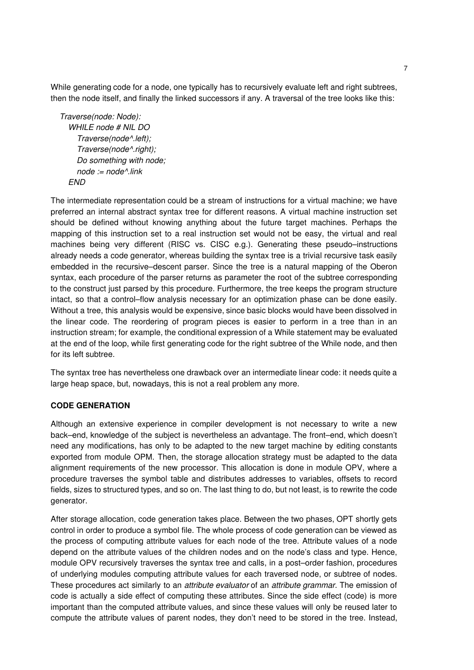While generating code for a node, one typically has to recursively evaluate left and right subtrees, then the node itself, and finally the linked successors if any. A traversal of the tree looks like this:

```
Traverse(node: Node):
  WHILE node # NIL DO
     Traverse(node^.left);
     Traverse(node^.right);
    Do something with node;
    node := node^{\wedge}.linkEND
```
The intermediate representation could be a stream of instructions for a virtual machine; we have preferred an internal abstract syntax tree for different reasons. A virtual machine instruction set should be defined without knowing anything about the future target machines. Perhaps the mapping of this instruction set to a real instruction set would not be easy, the virtual and real machines being very different (RISC vs. CISC e.g.). Generating these pseudo–instructions already needs a code generator, whereas building the syntax tree is a trivial recursive task easily embedded in the recursive–descent parser. Since the tree is a natural mapping of the Oberon syntax, each procedure of the parser returns as parameter the root of the subtree corresponding to the construct just parsed by this procedure. Furthermore, the tree keeps the program structure intact, so that a control–flow analysis necessary for an optimization phase can be done easily. Without a tree, this analysis would be expensive, since basic blocks would have been dissolved in the linear code. The reordering of program pieces is easier to perform in a tree than in an instruction stream; for example, the conditional expression of a While statement may be evaluated at the end of the loop, while first generating code for the right subtree of the While node, and then for its left subtree.

The syntax tree has nevertheless one drawback over an intermediate linear code: it needs quite a large heap space, but, nowadays, this is not a real problem any more.

# **CODE GENERATION**

Although an extensive experience in compiler development is not necessary to write a new back–end, knowledge of the subject is nevertheless an advantage. The front–end, which doesn't need any modifications, has only to be adapted to the new target machine by editing constants exported from module OPM. Then, the storage allocation strategy must be adapted to the data alignment requirements of the new processor. This allocation is done in module OPV, where a procedure traverses the symbol table and distributes addresses to variables, offsets to record fields, sizes to structured types, and so on. The last thing to do, but not least, is to rewrite the code generator.

After storage allocation, code generation takes place. Between the two phases, OPT shortly gets control in order to produce a symbol file. The whole process of code generation can be viewed as the process of computing attribute values for each node of the tree. Attribute values of a node depend on the attribute values of the children nodes and on the node's class and type. Hence, module OPV recursively traverses the syntax tree and calls, in a post–order fashion, procedures of underlying modules computing attribute values for each traversed node, or subtree of nodes. These procedures act similarly to an *attribute evaluator* of an *attribute grammar*. The emission of code is actually a side effect of computing these attributes. Since the side effect (code) is more important than the computed attribute values, and since these values will only be reused later to compute the attribute values of parent nodes, they don't need to be stored in the tree. Instead,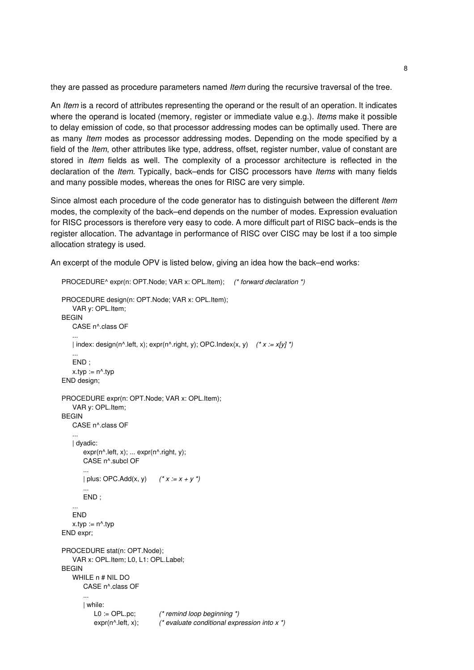they are passed as procedure parameters named *Item* during the recursive traversal of the tree.

An *Item* is a record of attributes representing the operand or the result of an operation. It indicates where the operand is located (memory, register or immediate value e.g.). Items make it possible to delay emission of code, so that processor addressing modes can be optimally used. There are as many *Item* modes as processor addressing modes. Depending on the mode specified by a field of the *Item*, other attributes like type, address, offset, register number, value of constant are stored in *Item* fields as well. The complexity of a processor architecture is reflected in the declaration of the *Item.* Typically, back–ends for CISC processors have *Items* with many fields and many possible modes, whereas the ones for RISC are very simple.

Since almost each procedure of the code generator has to distinguish between the different Item modes, the complexity of the back–end depends on the number of modes. Expression evaluation for RISC processors is therefore very easy to code. A more difficult part of RISC back–ends is the register allocation. The advantage in performance of RISC over CISC may be lost if a too simple allocation strategy is used.

An excerpt of the module OPV is listed below, giving an idea how the back–end works:

```
PROCEDURE^ expr(n: OPT.Node; VAR x: OPL.Item); (* forward declaration *)
PROCEDURE design(n: OPT.Node; VAR x: OPL.Item);
   VAR y: OPL.Item;
BEGIN
   CASE n^.class OF
    ...
   | index: design(n^.left, x); expr(n^.right, y); OPC.Index(x, y) (* x := x[y] *)
   ...
   END ;
   x.typ := n^{\wedge}.typEND design;
PROCEDURE expr(n: OPT.Node; VAR x: OPL.Item);
   VAR y: OPL.Item;
BEGIN
   CASE n^.class OF
    ...
   | dyadic:
       expr(n^{\wedge}.left, x); \dots exp(r^{\wedge}.right, y);CASE n^.subcl OF
       ...
      | plus: OPC.Add(x, y) (^{*}x := x + y^{*})...
      END ;
    ...
   END
   x.typ := n^{\wedge}.typ
END expr;
PROCEDURE stat(n: OPT.Node);
   VAR x: OPL.Item; L0, L1: OPL.Label;
BEGIN
   WHILE n # NIL DO
       CASE n^.class OF
       ...
      | while:
          L0 := OPL.pc; (* remind loop beginning *)exp(r^{\Lambda}.left, x); (* evaluate conditional expression into x *)
```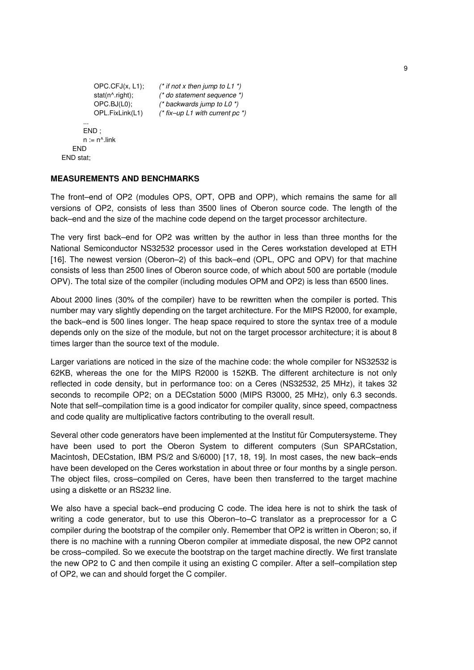```
OPC.CFJ(x, L1); (* if not x then jump to L1 *)
          stat(n^.right); ( * do statement sequence * )OPC.BJ(L0); (* backwards jump to L0 *)
          OPL.FixLink(L1) (* fix–up L1 with current pc *)
       ...
      END ;
      n := n^{\wedge}.link
   END
END stat;
```
# **MEASUREMENTS AND BENCHMARKS**

The front–end of OP2 (modules OPS, OPT, OPB and OPP), which remains the same for all versions of OP2, consists of less than 3500 lines of Oberon source code. The length of the back–end and the size of the machine code depend on the target processor architecture.

The very first back–end for OP2 was written by the author in less than three months for the National Semiconductor NS32532 processor used in the Ceres workstation developed at ETH [16]. The newest version (Oberon–2) of this back–end (OPL, OPC and OPV) for that machine consists of less than 2500 lines of Oberon source code, of which about 500 are portable (module OPV). The total size of the compiler (including modules OPM and OP2) is less than 6500 lines.

About 2000 lines (30% of the compiler) have to be rewritten when the compiler is ported. This number may vary slightly depending on the target architecture. For the MIPS R2000, for example, the back–end is 500 lines longer. The heap space required to store the syntax tree of a module depends only on the size of the module, but not on the target processor architecture; it is about 8 times larger than the source text of the module.

Larger variations are noticed in the size of the machine code: the whole compiler for NS32532 is 62KB, whereas the one for the MIPS R2000 is 152KB. The different architecture is not only reflected in code density, but in performance too: on a Ceres (NS32532, 25 MHz), it takes 32 seconds to recompile OP2; on a DECstation 5000 (MIPS R3000, 25 MHz), only 6.3 seconds. Note that self–compilation time is a good indicator for compiler quality, since speed, compactness and code quality are multiplicative factors contributing to the overall result.

Several other code generators have been implemented at the Institut für Computersysteme. They have been used to port the Oberon System to different computers (Sun SPARCstation, Macintosh, DECstation, IBM PS/2 and S/6000) [17, 18, 19]. In most cases, the new back–ends have been developed on the Ceres workstation in about three or four months by a single person. The object files, cross–compiled on Ceres, have been then transferred to the target machine using a diskette or an RS232 line.

We also have a special back–end producing C code. The idea here is not to shirk the task of writing a code generator, but to use this Oberon–to–C translator as a preprocessor for a C compiler during the bootstrap of the compiler only. Remember that OP2 is written in Oberon; so, if there is no machine with a running Oberon compiler at immediate disposal, the new OP2 cannot be cross–compiled. So we execute the bootstrap on the target machine directly. We first translate the new OP2 to C and then compile it using an existing C compiler. After a self–compilation step of OP2, we can and should forget the C compiler.